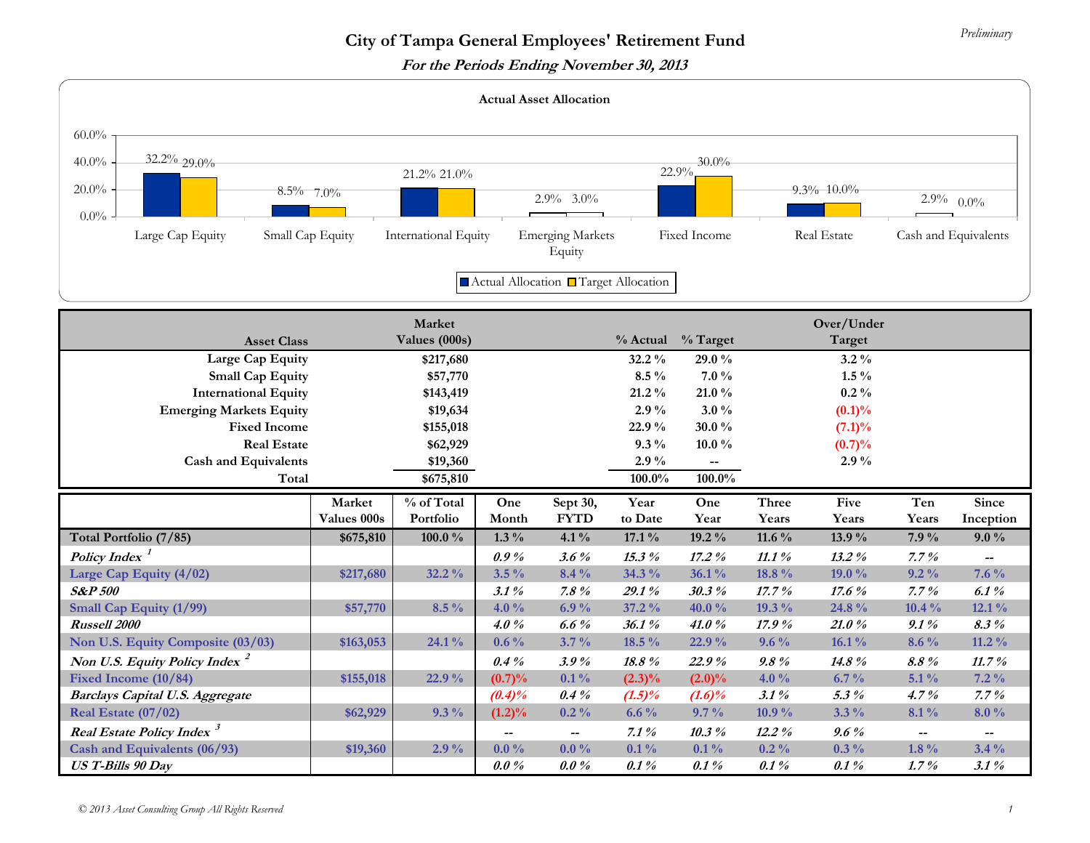**For the Periods Ending November 30, 2013** 

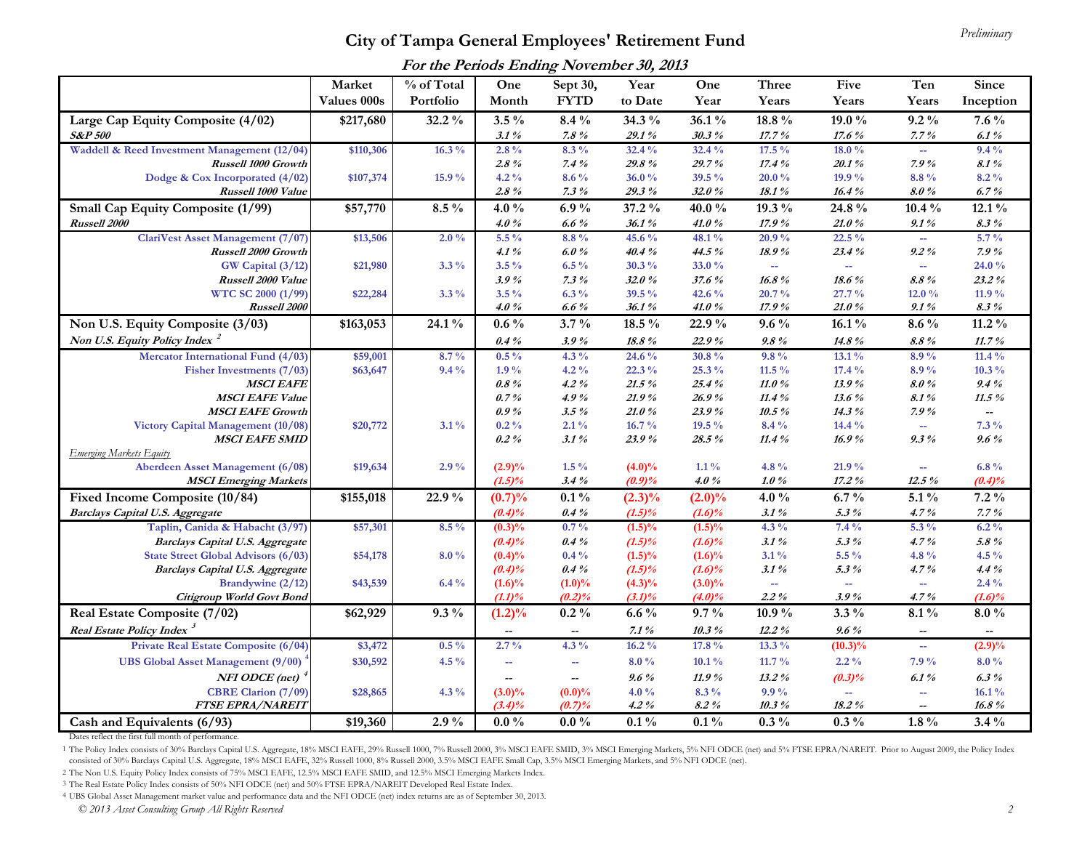## *Preliminary* **City of Tampa General Employees' Retirement Fund**

| For the Periods Ending November 30, 2013 |  |  |
|------------------------------------------|--|--|
|------------------------------------------|--|--|

|                                                         | Market      | % of Total | One       | Sept 30,                 | Year      | One       | Three                      | Five                        | Ten                      | Since                    |
|---------------------------------------------------------|-------------|------------|-----------|--------------------------|-----------|-----------|----------------------------|-----------------------------|--------------------------|--------------------------|
|                                                         | Values 000s | Portfolio  | Month     | <b>FYTD</b>              | to Date   | Year      | Years                      | Years                       | Years                    | Inception                |
| Large Cap Equity Composite (4/02)                       | \$217,680   | 32.2%      | $3.5\%$   | $8.4\%$                  | 34.3 %    | $36.1\%$  | $18.8\%$                   | 19.0 $\%$                   | $9.2\%$                  | $7.6\%$                  |
| <b>S&amp;P 500</b>                                      |             |            | 3.1%      | $7.8 \%$                 | 29.1%     | 30.3%     | $17.7\,\%$                 | 17.6%                       | 7.7%                     | 6.1%                     |
| Waddell & Reed Investment Management (12/04)            | \$110,306   | $16.3\%$   | $2.8\%$   | $8.3\%$                  | 32.4%     | 32.4%     | $17.5\%$                   | 18.0%                       | u.                       | $9.4\%$                  |
| Russell 1000 Growth                                     |             |            | $2.8\%$   | 7.4%                     | 29.8%     | 29.7%     | 17.4%                      | 20.1%                       | 7.9%                     | $8.1\,\%$                |
| Dodge & Cox Incorporated $(4/02)$                       | \$107,374   | 15.9 %     | $4.2\%$   | $8.6\%$                  | 36.0%     | 39.5 %    | 20.0%                      | 19.9 %                      | 8.8%                     | $8.2\%$                  |
| Russell 1000 Value                                      |             |            | $2.8\%$   | $7.3\%$                  | 29.3%     | 32.0%     | 18.1%                      | 16.4%                       | 8.0%                     | 6.7%                     |
| Small Cap Equity Composite (1/99)                       | \$57,770    | $8.5\%$    | 4.0 $\%$  | 6.9%                     | 37.2 %    | 40.0%     | 19.3 %                     | 24.8 %                      | $10.4\%$                 | $12.1\%$                 |
| <b>Russell 2000</b>                                     |             |            | 4.0 %     | $6.6\%$                  | 36.1%     | 41.0%     | 17.9%                      | 21.0%                       | 9.1%                     | $8.3\%$                  |
| ClariVest Asset Management (7/07)                       | \$13,506    | $2.0\%$    | $5.5\%$   | $8.8\%$                  | 45.6 %    | 48.1%     | 20.9%                      | 22.5 %                      | цú.                      | $5.7\%$                  |
| Russell 2000 Growth                                     |             |            | 4.1%      | 6.0%                     | 40.4%     | 44.5 %    | 18.9%                      | 23.4%                       | $9.2\%$                  | 7.9%                     |
| GW Capital (3/12)                                       | \$21,980    | $3.3\%$    | $3.5\%$   | $6.5\%$                  | $30.3\%$  | 33.0%     | $\mathcal{L}_{\text{max}}$ | $\sim$                      | ÷                        | 24.0 %                   |
| Russell 2000 Value                                      |             |            | 3.9%      | 7.3%                     | 32.0%     | 37.6%     | 16.8%                      | 18.6%                       | 8.8%                     | $23.2\%$                 |
| WTC SC 2000 (1/99)                                      | \$22,284    | $3.3\%$    | $3.5\%$   | $6.3\%$                  | 39.5 $\%$ | 42.6 $\%$ | 20.7%                      | $27.7\%$                    | 12.0%                    | 11.9 $\%$                |
| Russell 2000                                            |             |            | 4.0%      | 6.6%                     | 36.1%     | 41.0%     | 17.9%                      | 21.0%                       | 9.1%                     | $8.3\%$                  |
| Non U.S. Equity Composite (3/03)                        | \$163,053   | 24.1%      | $0.6\%$   | $3.7\%$                  | $18.5\%$  | 22.9%     | $9.6\%$                    | $16.1\%$                    | $8.6\%$                  | $11.2\%$                 |
| Non U.S. Equity Policy Index <sup>2</sup>               |             |            | $0.4\%$   | 3.9%                     | $18.8\%$  | 22.9%     | $9.8\%$                    | 14.8%                       | $8.8~\%$                 | 11.7%                    |
| Mercator International Fund (4/03)                      | \$59,001    | $8.7\%$    | $0.5\%$   | 4.3 $\%$                 | 24.6 %    | 30.8%     | $9.8\%$                    | $13.1\%$                    | $8.9\%$                  | $11.4\%$                 |
| Fisher Investments (7/03)                               | \$63,647    | $9.4\%$    | $1.9\%$   | $4.2\%$                  | $22.3\%$  | $25.3~\%$ | 11.5 $\%$                  | 17.4 %                      | 8.9%                     | $10.3\%$                 |
| <b>MSCI EAFE</b>                                        |             |            | $0.8\%$   | $4.2\%$                  | 21.5%     | 25.4%     | 11.0%                      | 13.9%                       | 8.0%                     | 9.4%                     |
| <b>MSCI EAFE Value</b>                                  |             |            | 0.7%      | 4.9%                     | 21.9%     | 26.9%     | 11.4 %                     | 13.6%                       | 8.1%                     | 11.5 %                   |
| <b>MSCI EAFE Growth</b>                                 |             |            | 0.9%      | $3.5\%$                  | 21.0%     | 23.9%     | $10.5\%$                   | 14.3%                       | 7.9%                     | Ξ.                       |
| Victory Capital Management (10/08)                      | \$20,772    | $3.1\%$    | $0.2\%$   | $2.1\%$                  | $16.7\%$  | $19.5\%$  | $8.4\%$                    | 14.4 %                      | 44                       | $7.3\%$                  |
| <b>MSCI EAFE SMID</b><br><b>Emerging Markets Equity</b> |             |            | $0.2\%$   | 3.1%                     | 23.9%     | 28.5%     | 11.4%                      | 16.9%                       | $9.3\%$                  | 9.6%                     |
| Aberdeen Asset Management (6/08)                        | \$19,634    | $2.9\%$    | $(2.9)\%$ | $1.5\%$                  | $(4.0)\%$ | $1.1\%$   | 4.8 %                      | 21.9%                       | 4                        | $6.8\,\%$                |
| <b>MSCI</b> Emerging Markets                            |             |            | $(1.5)\%$ | 3.4%                     | (0.9)%    | 4.0%      | 1.0%                       | 17.2%                       | 12.5%                    | (0.4)%                   |
| Fixed Income Composite (10/84)                          | \$155,018   | 22.9%      | (0.7)%    | $0.1\%$                  | $(2.3)\%$ | $(2.0)\%$ | 4.0 $\%$                   | 6.7 $\%$                    | $5.1\%$                  | $7.2\%$                  |
| <b>Barclays Capital U.S. Aggregate</b>                  |             |            | $(0.4)\%$ | $0.4\%$                  | $(1.5)\%$ | $(1.6)\%$ | 3.1%                       | 5.3%                        | 4.7%                     | 7.7%                     |
| Taplin, Canida & Habacht (3/97)                         | \$57,301    | $8.5\%$    | $(0.3)\%$ | $0.7\%$                  | $(1.5)\%$ | $(1.5)\%$ | $4.3\%$                    | $7.4\%$                     | $5.3\%$                  | $6.2\%$                  |
| <b>Barclays Capital U.S. Aggregate</b>                  |             |            | $(0.4)\%$ | $0.4\%$                  | $(1.5)\%$ | $(1.6)\%$ | 3.1%                       | 5.3%                        | 4.7%                     | $5.8 \%$                 |
| State Street Global Advisors (6/03)                     | \$54,178    | $8.0\%$    | $(0.4)\%$ | $0.4\%$                  | $(1.5)\%$ | $(1.6)\%$ | $3.1\%$                    | $5.5\,\%$                   | 4.8%                     | 4.5 $\%$                 |
| <b>Barclays Capital U.S. Aggregate</b>                  |             |            | (0.4)%    | $0.4\%$                  | $(1.5)\%$ | $(1.6)\%$ | 3.1%                       | 5.3%                        | 4.7%                     | 4.4%                     |
| Brandywine (2/12)                                       | \$43,539    | $6.4\%$    | $(1.6)\%$ | $(1.0)\%$                | $(4.3)\%$ | $(3.0)\%$ | ц.                         | $\mathcal{L}_{\mathcal{F}}$ | $\overline{\phantom{a}}$ | $2.4\%$                  |
| Citigroup World Govt Bond                               |             |            | (1.1)%    | (0.2)%                   | $(3.1)\%$ | $(4.0)\%$ | $2.2\%$                    | 3.9%                        | $4.7\%$                  | $(1.6)\%$                |
| Real Estate Composite (7/02)                            | \$62,929    | $9.3\%$    | $(1.2)\%$ | $0.2\%$                  | $6.6\%$   | $9.7\%$   | 10.9%                      | $3.3\%$                     | $8.1\%$                  | $8.0\%$                  |
| Real Estate Policy Index <sup>3</sup>                   |             |            | --        | $\overline{\phantom{a}}$ | $7.1\,\%$ | $10.3\%$  | 12.2%                      | 9.6%                        | $\overline{\phantom{a}}$ | $\overline{\phantom{a}}$ |
| Private Real Estate Composite (6/04)                    | \$3,472     | $0.5\%$    | $2.7\%$   | $4.3\%$                  | $16.2\%$  | 17.8 %    | 13.3 %                     | $(10.3)\%$                  | $\overline{\phantom{a}}$ | (2.9)%                   |
| <b>UBS Global Asset Management (9/00)</b>               | \$30,592    | 4.5 $\%$   | --        | $\rightarrow$            | $8.0\%$   | $10.1\%$  | 11.7 $\%$                  | $2.2\%$                     | 7.9%                     | $8.0\%$                  |
| $NFI$ ODCE (net) <sup><math>\frac{4}{3}</math></sup>    |             |            | --        | $\overline{\phantom{a}}$ | $9.6\%$   | 11.9%     | 13.2%                      | $(0.3)\%$                   | 6.1%                     | $6.3\%$                  |
| <b>CBRE Clarion (7/09)</b>                              | \$28,865    | 4.3 $\%$   | $(3.0)\%$ | $(0.0)\%$                | 4.0 $\%$  | $8.3\%$   | $9.9\%$                    | ÷                           | 4                        | 16.1%                    |
| <b>FTSE EPRA/NAREIT</b>                                 |             |            | $(3.4)\%$ | (0.7)%                   | 4.2 %     | 8.2%      | $10.3\%$                   | 18.2%                       | $-$                      | 16.8%                    |
| Cash and Equivalents (6/93)                             | \$19,360    | $2.9\%$    | $0.0\%$   | $0.0\%$                  | $0.1\%$   | $0.1\%$   | $0.3\%$                    | $0.3\%$                     | $1.8\%$                  | $3.4\%$                  |

Dates reflect the first full month of performance.

1 The Policy Index consists of 30% Barclays Capital U.S. Aggregate, 18% MSCI EAFE, 29% Russell 1000, 7% Russell 2000, 3% MSCI EAFE SMID, 3% MSCI Emerging Markets, 5% NFI ODCE (net) and 5% FTSE EPRA/NAREIT. Prior to August consisted of 30% Barclays Capital U.S. Aggregate, 18% MSCI EAFE, 32% Russell 1000, 8% Russell 2000, 3.5% MSCI EAFE Small Cap, 3.5% MSCI Emerging Markets, and 5% NFI ODCE (net).

2 The Non U.S. Equity Policy Index consists of 75% MSCI EAFE, 12.5% MSCI EAFE SMID, and 12.5% MSCI Emerging Markets Index.

3 The Real Estate Policy Index consists of 50% NFI ODCE (net) and 50% FTSE EPRA/NAREIT Developed Real Estate Index.

4 UBS Global Asset Management market value and performance data and the NFI ODCE (net) index returns are as of September 30, 2013.

 *© 2013 Asset Consulting Group All Rights Reserved 2*